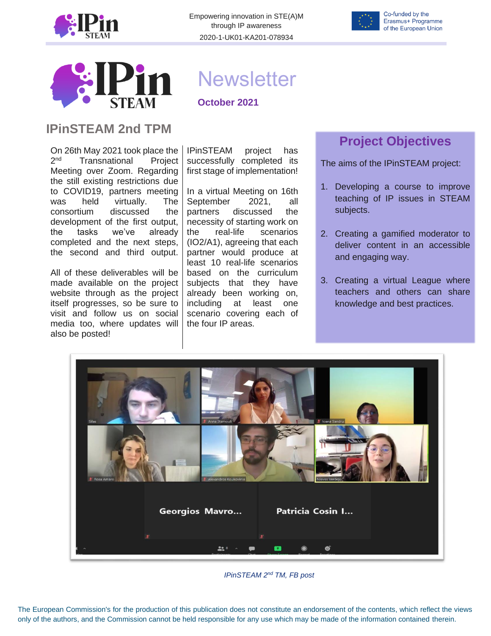

Empowering innovation in STE(A)M through IP awareness 2020-1-UK01-KA201-078934





#### **IPinSTEAM 2nd TPM**

On 26th May 2021 took place the  $2<sub>nd</sub>$ Transnational Project Meeting over Zoom. Regarding the still existing restrictions due to COVID19, partners meeting was held virtually. The consortium discussed the development of the first output, the tasks we've already completed and the next steps, the second and third output.

All of these deliverables will be made available on the project website through as the project itself progresses, so be sure to visit and follow us on social media too, where updates will also be posted!

# **Newsletter**

**October 2021**

IPinSTEAM project has successfully completed its first stage of implementation!

In a virtual Meeting on 16th September 2021, all partners discussed the necessity of starting work on the real-life scenarios (IO2/A1), agreeing that each partner would produce at least 10 real-life scenarios based on the curriculum subjects that they have already been working on, including at least one scenario covering each of the four IP areas.

# **Project Objectives**

The aims of the IPinSTEAM project:

- 1. Developing a course to improve teaching of IP issues in STEAM subjects.
- 2. Creating a gamified moderator to deliver content in an accessible and engaging way.
- 3. Creating a virtual League where teachers and others can share knowledge and best practices.



*IPinSTEAM 2 nd TM, FB post*

The European Commission's for the production of this publication does not constitute an endorsement of the contents, which reflect the views only of the authors, and the Commission cannot be held responsible for any use which may be made of the information contained therein.